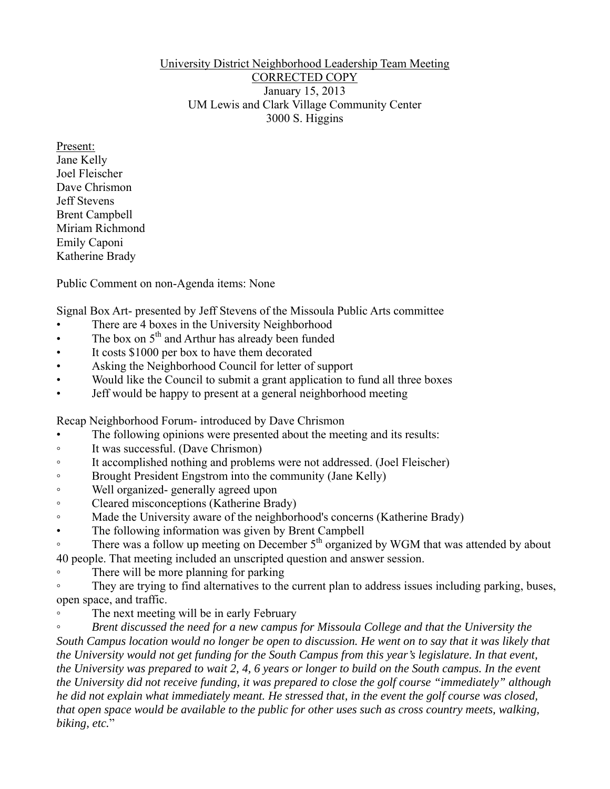## University District Neighborhood Leadership Team Meeting CORRECTED COPY January 15, 2013 UM Lewis and Clark Village Community Center 3000 S. Higgins

Present: Jane Kelly Joel Fleischer Dave Chrismon Jeff Stevens Brent Campbell Miriam Richmond Emily Caponi Katherine Brady

Public Comment on non-Agenda items: None

Signal Box Art- presented by Jeff Stevens of the Missoula Public Arts committee

- There are 4 boxes in the University Neighborhood
- The box on  $5<sup>th</sup>$  and Arthur has already been funded
- It costs \$1000 per box to have them decorated
- Asking the Neighborhood Council for letter of support
- Would like the Council to submit a grant application to fund all three boxes
- Jeff would be happy to present at a general neighborhood meeting

Recap Neighborhood Forum- introduced by Dave Chrismon

- The following opinions were presented about the meeting and its results:
- It was successful. (Dave Chrismon)
- It accomplished nothing and problems were not addressed. (Joel Fleischer)
- Brought President Engstrom into the community (Jane Kelly)
- Well organized- generally agreed upon
- Cleared misconceptions (Katherine Brady)
- Made the University aware of the neighborhood's concerns (Katherine Brady)
- The following information was given by Brent Campbell

• There was a follow up meeting on December 5<sup>th</sup> organized by WGM that was attended by about 40 people. That meeting included an unscripted question and answer session.

◦ There will be more planning for parking

• They are trying to find alternatives to the current plan to address issues including parking, buses, open space, and traffic.

◦ The next meeting will be in early February

◦ *Brent discussed the need for a new campus for Missoula College and that the University the*  South Campus location would no longer be open to discussion. He went on to say that it was likely that *the University would not get funding for the South Campus from this year's legislature. In that event, the University was prepared to wait 2, 4, 6 years or longer to build on the South campus. In the event the University did not receive funding, it was prepared to close the golf course "immediately" although he did not explain what immediately meant. He stressed that, in the event the golf course was closed, that open space would be available to the public for other uses such as cross country meets, walking, biking, etc.*"